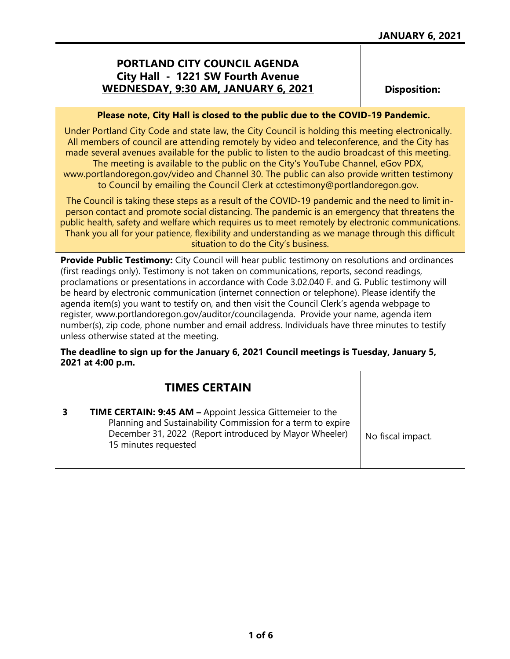## **PORTLAND CITY COUNCIL AGENDA City Hall - 1221 SW Fourth Avenue WEDNESDAY, 9:30 AM, JANUARY 6, 2021**

**Disposition:**

### **Please note, City Hall is closed to the public due to the COVID-19 Pandemic.**

Under Portland City Code and state law, the City Council is holding this meeting electronically. All members of council are attending remotely by video and teleconference, and the City has made several avenues available for the public to listen to the audio broadcast of this meeting. The meeting is available to the public on the City's YouTube Channel, eGov PDX, www.portlandoregon.gov/video and Channel 30. The public can also provide written testimony to Council by emailing the Council Clerk at cctestimony@portlandoregon.gov.

The Council is taking these steps as a result of the COVID-19 pandemic and the need to limit inperson contact and promote social distancing. The pandemic is an emergency that threatens the public health, safety and welfare which requires us to meet remotely by electronic communications. Thank you all for your patience, flexibility and understanding as we manage through this difficult situation to do the City's business.

**Provide Public Testimony:** City Council will hear public testimony on resolutions and ordinances (first readings only). Testimony is not taken on communications, reports, second readings, proclamations or presentations in accordance with Code 3.02.040 F. and G. Public testimony will be heard by electronic communication (internet connection or telephone). Please identify the agenda item(s) you want to testify on, and then visit the Council Clerk's agenda webpage to register, www.portlandoregon.gov/auditor/councilagenda. Provide your name, agenda item number(s), zip code, phone number and email address. Individuals have three minutes to testify unless otherwise stated at the meeting.

## **The deadline to sign up for the January 6, 2021 Council meetings is Tuesday, January 5, 2021 at 4:00 p.m.**

| <b>TIMES CERTAIN</b>                                                                                                                                                                                              |                   |
|-------------------------------------------------------------------------------------------------------------------------------------------------------------------------------------------------------------------|-------------------|
| <b>TIME CERTAIN: 9:45 AM - Appoint Jessica Gittemeier to the</b><br>Planning and Sustainability Commission for a term to expire<br>December 31, 2022 (Report introduced by Mayor Wheeler)<br>15 minutes requested | No fiscal impact. |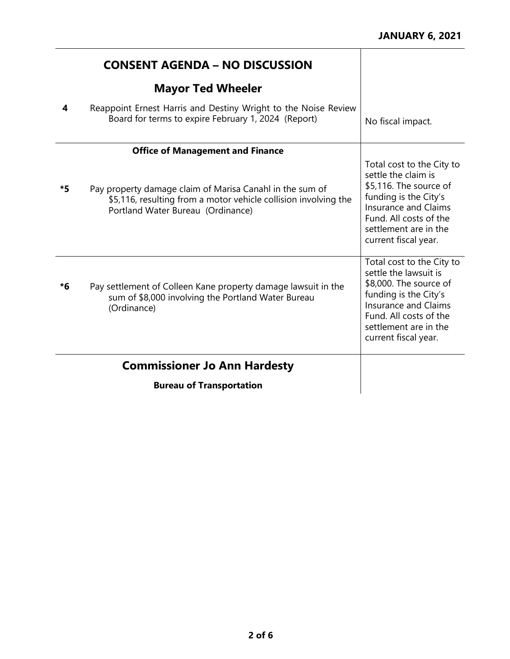|    | <b>CONSENT AGENDA - NO DISCUSSION</b>                                                                                                                            |                                                                                                                                                                                                                 |
|----|------------------------------------------------------------------------------------------------------------------------------------------------------------------|-----------------------------------------------------------------------------------------------------------------------------------------------------------------------------------------------------------------|
|    | <b>Mayor Ted Wheeler</b>                                                                                                                                         |                                                                                                                                                                                                                 |
| 4  | Reappoint Ernest Harris and Destiny Wright to the Noise Review<br>Board for terms to expire February 1, 2024 (Report)                                            | No fiscal impact.                                                                                                                                                                                               |
|    | <b>Office of Management and Finance</b>                                                                                                                          |                                                                                                                                                                                                                 |
| *5 | Pay property damage claim of Marisa Canahl in the sum of<br>\$5,116, resulting from a motor vehicle collision involving the<br>Portland Water Bureau (Ordinance) | Total cost to the City to<br>settle the claim is<br>\$5,116. The source of<br>funding is the City's<br><b>Insurance and Claims</b><br>Fund. All costs of the<br>settlement are in the<br>current fiscal year.   |
| *6 | Pay settlement of Colleen Kane property damage lawsuit in the<br>sum of \$8,000 involving the Portland Water Bureau<br>(Ordinance)                               | Total cost to the City to<br>settle the lawsuit is<br>\$8,000. The source of<br>funding is the City's<br><b>Insurance and Claims</b><br>Fund. All costs of the<br>settlement are in the<br>current fiscal year. |
|    | <b>Commissioner Jo Ann Hardesty</b>                                                                                                                              |                                                                                                                                                                                                                 |
|    | <b>Bureau of Transportation</b>                                                                                                                                  |                                                                                                                                                                                                                 |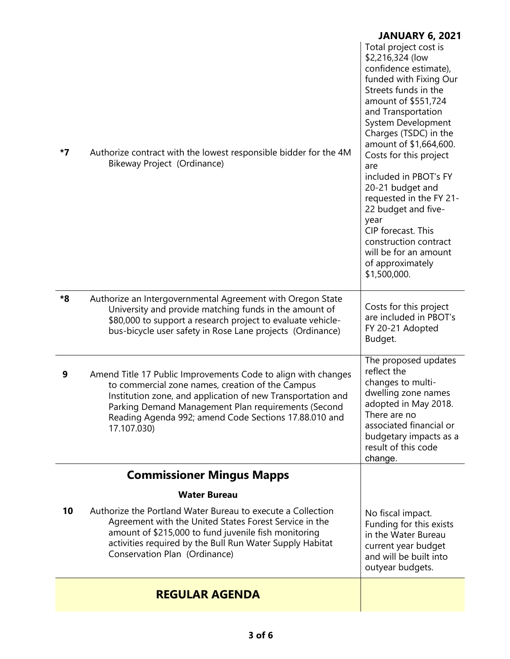|    |                                                                                                                                                                                                                                                                                                                 | <b>JANUARY 6, 2021</b>                                                                                                                                                                                                                                                                                                                                                                                                                                                                         |
|----|-----------------------------------------------------------------------------------------------------------------------------------------------------------------------------------------------------------------------------------------------------------------------------------------------------------------|------------------------------------------------------------------------------------------------------------------------------------------------------------------------------------------------------------------------------------------------------------------------------------------------------------------------------------------------------------------------------------------------------------------------------------------------------------------------------------------------|
| *7 | Authorize contract with the lowest responsible bidder for the 4M<br>Bikeway Project (Ordinance)                                                                                                                                                                                                                 | Total project cost is<br>\$2,216,324 (low<br>confidence estimate),<br>funded with Fixing Our<br>Streets funds in the<br>amount of \$551,724<br>and Transportation<br>System Development<br>Charges (TSDC) in the<br>amount of \$1,664,600.<br>Costs for this project<br>are<br>included in PBOT's FY<br>20-21 budget and<br>requested in the FY 21-<br>22 budget and five-<br>year<br>CIP forecast. This<br>construction contract<br>will be for an amount<br>of approximately<br>\$1,500,000. |
| *8 | Authorize an Intergovernmental Agreement with Oregon State<br>University and provide matching funds in the amount of<br>\$80,000 to support a research project to evaluate vehicle-<br>bus-bicycle user safety in Rose Lane projects (Ordinance)                                                                | Costs for this project<br>are included in PBOT's<br>FY 20-21 Adopted<br>Budget.                                                                                                                                                                                                                                                                                                                                                                                                                |
| 9  | Amend Title 17 Public Improvements Code to align with changes<br>to commercial zone names, creation of the Campus<br>Institution zone, and application of new Transportation and<br>Parking Demand Management Plan requirements (Second<br>Reading Agenda 992; amend Code Sections 17.88.010 and<br>17.107.030) | The proposed updates<br>reflect the<br>changes to multi-<br>dwelling zone names<br>adopted in May 2018.<br>There are no<br>associated financial or<br>budgetary impacts as a<br>result of this code<br>change.                                                                                                                                                                                                                                                                                 |
|    | <b>Commissioner Mingus Mapps</b>                                                                                                                                                                                                                                                                                |                                                                                                                                                                                                                                                                                                                                                                                                                                                                                                |
|    | <b>Water Bureau</b>                                                                                                                                                                                                                                                                                             |                                                                                                                                                                                                                                                                                                                                                                                                                                                                                                |
| 10 | Authorize the Portland Water Bureau to execute a Collection<br>Agreement with the United States Forest Service in the<br>amount of \$215,000 to fund juvenile fish monitoring<br>activities required by the Bull Run Water Supply Habitat<br>Conservation Plan (Ordinance)                                      | No fiscal impact.<br>Funding for this exists<br>in the Water Bureau<br>current year budget<br>and will be built into<br>outyear budgets.                                                                                                                                                                                                                                                                                                                                                       |
|    | <b>REGULAR AGENDA</b>                                                                                                                                                                                                                                                                                           |                                                                                                                                                                                                                                                                                                                                                                                                                                                                                                |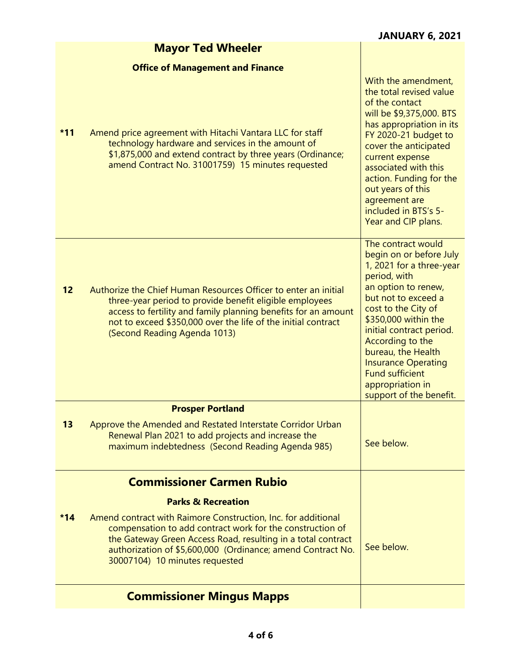| <b>Mayor Ted Wheeler</b> |  |  |  |  |  |
|--------------------------|--|--|--|--|--|
|--------------------------|--|--|--|--|--|

# **Office of Management and Finance**

|       | <b>Commissioner Mingus Mapps</b>                                                                                                                                                                                                                                                                                             |                                                                                                                                                                                                                                                                                                                                                                     |
|-------|------------------------------------------------------------------------------------------------------------------------------------------------------------------------------------------------------------------------------------------------------------------------------------------------------------------------------|---------------------------------------------------------------------------------------------------------------------------------------------------------------------------------------------------------------------------------------------------------------------------------------------------------------------------------------------------------------------|
| $*14$ | <b>Parks &amp; Recreation</b><br>Amend contract with Raimore Construction, Inc. for additional<br>compensation to add contract work for the construction of<br>the Gateway Green Access Road, resulting in a total contract<br>authorization of \$5,600,000 (Ordinance; amend Contract No.<br>30007104) 10 minutes requested | See below.                                                                                                                                                                                                                                                                                                                                                          |
|       | <b>Commissioner Carmen Rubio</b>                                                                                                                                                                                                                                                                                             |                                                                                                                                                                                                                                                                                                                                                                     |
| 13    | <b>Prosper Portland</b><br>Approve the Amended and Restated Interstate Corridor Urban<br>Renewal Plan 2021 to add projects and increase the<br>maximum indebtedness (Second Reading Agenda 985)                                                                                                                              | See below.                                                                                                                                                                                                                                                                                                                                                          |
| 12    | Authorize the Chief Human Resources Officer to enter an initial<br>three-year period to provide benefit eligible employees<br>access to fertility and family planning benefits for an amount<br>not to exceed \$350,000 over the life of the initial contract<br>(Second Reading Agenda 1013)                                | The contract would<br>begin on or before July<br>1, 2021 for a three-year<br>period, with<br>an option to renew,<br>but not to exceed a<br>cost to the City of<br>\$350,000 within the<br>initial contract period.<br>According to the<br>bureau, the Health<br><b>Insurance Operating</b><br><b>Fund sufficient</b><br>appropriation in<br>support of the benefit. |
| $*11$ | Amend price agreement with Hitachi Vantara LLC for staff<br>technology hardware and services in the amount of<br>\$1,875,000 and extend contract by three years (Ordinance;<br>amend Contract No. 31001759) 15 minutes requested                                                                                             | With the amendment,<br>the total revised value<br>of the contact<br>will be \$9,375,000. BTS<br>has appropriation in its<br>FY 2020-21 budget to<br>cover the anticipated<br>current expense<br>associated with this<br>action. Funding for the<br>out years of this<br>agreement are<br>included in BTS's 5-<br>Year and CIP plans.                                |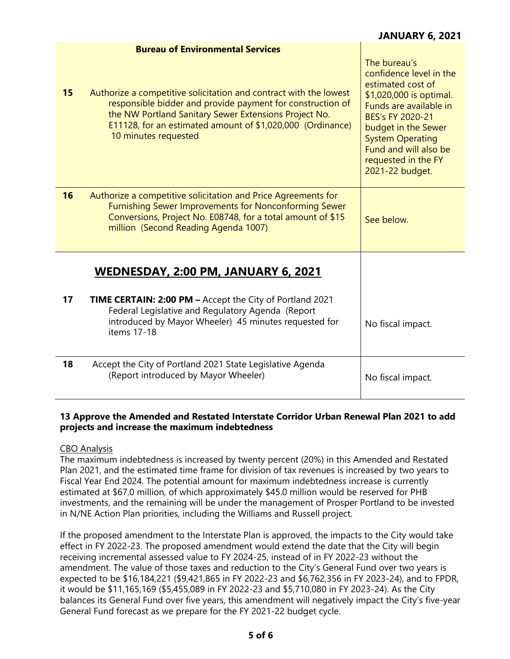|    | <b>Bureau of Environmental Services</b>                                                                                                                                                                                                                                        |                                                                                                                                                                                                                                                            |
|----|--------------------------------------------------------------------------------------------------------------------------------------------------------------------------------------------------------------------------------------------------------------------------------|------------------------------------------------------------------------------------------------------------------------------------------------------------------------------------------------------------------------------------------------------------|
| 15 | Authorize a competitive solicitation and contract with the lowest<br>responsible bidder and provide payment for construction of<br>the NW Portland Sanitary Sewer Extensions Project No.<br>E11128, for an estimated amount of \$1,020,000 (Ordinance)<br>10 minutes requested | The bureau's<br>confidence level in the<br>estimated cost of<br>\$1,020,000 is optimal.<br>Funds are available in<br>BES's FY 2020-21<br>budget in the Sewer<br><b>System Operating</b><br>Fund and will also be<br>requested in the FY<br>2021-22 budget. |
| 16 | Authorize a competitive solicitation and Price Agreements for<br>Furnishing Sewer Improvements for Nonconforming Sewer<br>Conversions, Project No. E08748, for a total amount of \$15<br>million (Second Reading Agenda 1007)                                                  | See below.                                                                                                                                                                                                                                                 |
|    | WEDNESDAY, 2:00 PM, JANUARY 6, 2021                                                                                                                                                                                                                                            |                                                                                                                                                                                                                                                            |
| 17 | TIME CERTAIN: 2:00 PM - Accept the City of Portland 2021<br>Federal Legislative and Regulatory Agenda (Report<br>introduced by Mayor Wheeler) 45 minutes requested for<br>items 17-18                                                                                          | No fiscal impact.                                                                                                                                                                                                                                          |
| 18 | Accept the City of Portland 2021 State Legislative Agenda<br>(Report introduced by Mayor Wheeler)                                                                                                                                                                              | No fiscal impact.                                                                                                                                                                                                                                          |

## **13 Approve the Amended and Restated Interstate Corridor Urban Renewal Plan 2021 to add projects and increase the maximum indebtedness**

## CBO Analysis

The maximum indebtedness is increased by twenty percent (20%) in this Amended and Restated Plan 2021, and the estimated time frame for division of tax revenues is increased by two years to Fiscal Year End 2024. The potential amount for maximum indebtedness increase is currently estimated at \$67.0 million, of which approximately \$45.0 million would be reserved for PHB investments, and the remaining will be under the management of Prosper Portland to be invested in N/NE Action Plan priorities, including the Williams and Russell project.

If the proposed amendment to the Interstate Plan is approved, the impacts to the City would take effect in FY 2022-23. The proposed amendment would extend the date that the City will begin receiving incremental assessed value to FY 2024-25, instead of in FY 2022-23 without the amendment. The value of those taxes and reduction to the City's General Fund over two years is expected to be \$16,184,221 (\$9,421,865 in FY 2022-23 and \$6,762,356 in FY 2023-24), and to FPDR, it would be \$11,165,169 (\$5,455,089 in FY 2022-23 and \$5,710,080 in FY 2023-24). As the City balances its General Fund over five years, this amendment will negatively impact the City's five-year General Fund forecast as we prepare for the FY 2021-22 budget cycle.